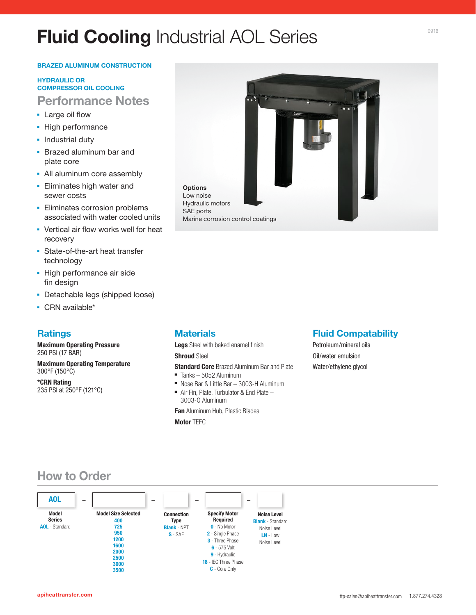# **Fluid Cooling** Industrial AOL Series

#### **BRAZED ALUMINUM CONSTRUCTION**

#### **HYDRAULIC OR COMPRESSOR OIL COOLING**

# **Performance Notes**

- Large oil flow
- High performance
- **·** Industrial duty
- **Brazed aluminum bar and** plate core
- All aluminum core assembly
- **Eliminates high water and** sewer costs
- **Eliminates corrosion problems** associated with water cooled units
- Vertical air flow works well for heat recovery
- State-of-the-art heat transfer technology
- **· High performance air side** fin design
- Detachable legs (shipped loose)
- CRN available\*

## **Ratings**

**Maximum Operating Pressure**  250 PSI (17 BAR)

**Maximum Operating Temperature**  300°F (150°C)

**\*CRN Rating**  235 PSI at 250°F (121°C)



# **Materials**

**Legs** Steel with baked enamel finish **Shroud** Steel

**Standard Core** Brazed Aluminum Bar and Plate

- Tanks 5052 Aluminum
- Nose Bar & Little Bar 3003-H Aluminum Air Fin, Plate, Turbulator & End Plate – 3003-O Aluminum

**Fan** Aluminum Hub, Plastic Blades

**Motor** TEFC

### **Fluid Compatability**

Petroleum/mineral oils Oil/water emulsion Water/ethylene glycol

# **How to Order**

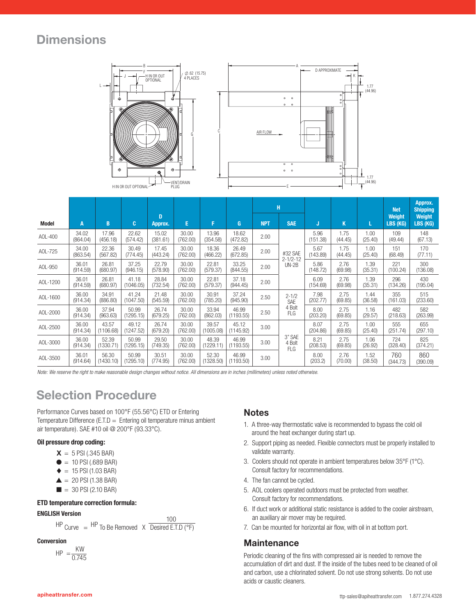# **Dimensions**





|          |                   |                    |                    |                   |                   |                    |                    | н          |                                |                  |                 |                 | <b>Net</b>         | Approx.<br><b>Shipping</b> |
|----------|-------------------|--------------------|--------------------|-------------------|-------------------|--------------------|--------------------|------------|--------------------------------|------------------|-----------------|-----------------|--------------------|----------------------------|
| Model    | A                 | B                  | C.                 | D<br>Approx.      | E.                | F                  | G                  | <b>NPT</b> | <b>SAE</b>                     | J                | K               |                 | Weight<br>LBS (KG) | Weight<br>LBS (KG)         |
| AOL-400  | 34.02<br>(864.04) | 17.96<br>(456.18)  | 22.62<br>(574.42)  | 15.02<br>(381.61) | 30.00<br>(762.00) | 13.96<br>(354.58)  | 18.62<br>(472.82)  | 2.00       |                                | 5.96<br>(151.38) | 1.75<br>(44.45) | 1.00<br>(25.40) | 109<br>(49.44)     | 148<br>(67.13)             |
| AOL-725  | 34.00<br>(863.54) | 22.36<br>(567.82)  | 30.49<br>(774.45)  | 17.45<br>(443.24) | 30.00<br>(762.00) | 18.36<br>(466.22)  | 26.49<br>(672.85)  | 2.00       | #32 SAE                        | 5.67<br>(143.89) | 1.75<br>(44.45) | 1.00<br>(25.40) | 151<br>(68.49)     | 170<br>(77.11)             |
| AOL-950  | 36.01<br>(914.59) | 26.81<br>(680.97)  | 37.25<br>(946.15)  | 22.79<br>(578.90) | 30.00<br>(762.00) | 22.81<br>(579.37)  | 33.25<br>(844.55)  | 2.00       | $2 - 1/2 - 12$<br>$UN-2B$      | 5.86<br>(148.72) | 2.76<br>(69.98) | 1.39<br>(35.31) | 221<br>(100.24)    | 300<br>(136.08)            |
| AOL-1200 | 36.01<br>(914.59) | 26.81<br>(680.97)  | 41.18<br>(1046.05) | 28.84<br>(732.54) | 30.00<br>(762.00) | 22.81<br>(579.37)  | 37.18<br>(944.45)  | 2.00       |                                | 6.09<br>(154.69) | 2.76<br>(69.98) | 1.39<br>(35.31) | 296<br>(134.26)    | 430<br>(195.04)            |
| AOL-1600 | 36.00<br>(914.34) | 34.91<br>(886.80)  | 41.24<br>(1047.50) | 21.48<br>(545.59) | 30.00<br>(762.00) | 30.91<br>(785.20)  | 37.24<br>(945.90)  | 2.50       | $2 - 1/2$<br>SAE               | 7.98<br>(202.77) | 2.75<br>(69.85) | 1.44<br>(36.58) | 355<br>(161.03)    | 515<br>(233.60)            |
| AOL-2000 | 36.00<br>(914.34) | 37.94<br>(963.63)  | 50.99<br>(1295.15) | 26.74<br>(679.25) | 30.00<br>(762.00) | 33.94<br>(862.03)  | 46.99<br>(1193.55) | 2.50       | 4 Bolt<br>FLG                  | 8.00<br>(203.20) | 2.75<br>(69.85) | 1.16<br>(29.57) | 482<br>(218.63)    | 582<br>(263.99)            |
| AOL-2500 | 36.00<br>(914.34) | 43.57<br>(1106.68) | 49.12<br>(1247.52) | 26.74<br>(679.20) | 30.00<br>(762.00) | 39.57<br>(1005.08) | 45.12<br>(1145.92) | 3.00       |                                | 8.07<br>(204.86) | 2.75<br>(69.85) | 1.00<br>(25.40) | 555<br>(251.74)    | 655<br>(297.10)            |
| AOL-3000 | 36.00<br>(914.34) | 52.39<br>(1330.71) | 50.99<br>(1295.15) | 29.50<br>(749.35) | 30.00<br>(762.00) | 48.39<br>(1229.11) | 46.99<br>(1193.55) | 3.00       | 3" SAE<br>4 Bolt<br><b>FLG</b> | 8.21<br>(208.53) | 2.75<br>(69.85) | 1.06<br>(26.92) | 724<br>(328.40)    | 825<br>(374.21)            |
| AOL-3500 | 36.01<br>(914.64) | 56.30<br>(1430.10) | 50.99<br>(1295.10) | 30.51<br>(774.95) | 30.00<br>(762.00) | 52.30<br>(1328.50) | 46.99<br>(1193.50) | 3.00       |                                | 8.00<br>(203.2)  | 2.76<br>(70.00) | 1.52<br>(38.50) | 760<br>(344.73)    | 860<br>(390.09)            |

*Note: We reserve the right to make reasonable design changes without notice. All dimensions are in inches (millimeters) unless noted otherwise.*

# **Selection Procedure**

Performance Curves based on 100°F (55.56°C) ETD or Entering Temperature Difference (E.T.D  $=$  Entering oil temperature minus ambient air temperature). SAE #10 oil @ 200°F (93.33°C).

#### **Oil pressure drop coding:**

- $X = 5$  PSI (.345 BAR)
- $\bullet$  = 10 PSI (.689 BAR)
- $\triangle$  = 15 PSI (1.03 BAR)
- $\triangle$  = 20 PSI (1.38 BAR)
- $\blacksquare = 30$  PSI (2.10 BAR)

#### **ETD temperature correction formula:**

#### **ENGLISH Version**

$$
HP_{\text{Curve}} = \frac{HP_{\text{To Be Removed}}}{P_{\text{Curve}}} \times \frac{100}{\text{Desired E.T.D (°F)}}
$$

#### **Conversion**

 $HP = \frac{KW}{2.741}$ 0.745

### **Notes**

- 1. A three-way thermostatic valve is recommended to bypass the cold oil around the heat exchanger during start up.
- 2. Support piping as needed. Flexible connectors must be properly installed to validate warranty.
- 3. Coolers should not operate in ambient temperatures below 35°F (1°C). Consult factory for recommendations.
- 4. The fan cannot be cycled.
- 5. AOL coolers operated outdoors must be protected from weather. Consult factory for recommendations.
- 6. If duct work or additional static resistance is added to the cooler airstream, an auxiliary air mover may be required.
- 7. Can be mounted for horizontal air flow, with oil in at bottom port.

#### **Maintenance**

Periodic cleaning of the fins with compressed air is needed to remove the accumulation of dirt and dust. If the inside of the tubes need to be cleaned of oil and carbon, use a chlorinated solvent. Do not use strong solvents. Do not use acids or caustic cleaners.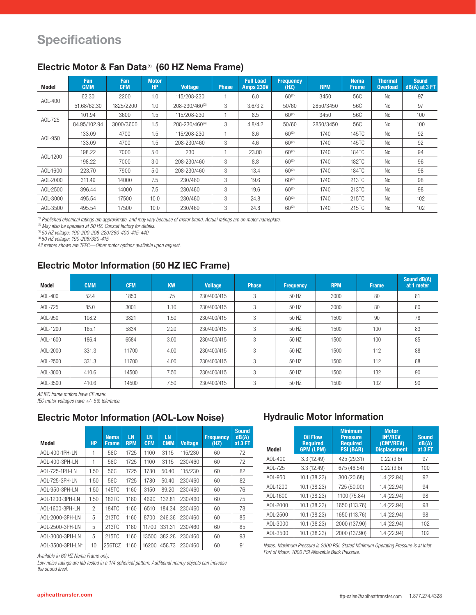# **Specifications**

| Model                                                                                                             | <b>Fan</b><br><b>CMM</b> | Fan<br><b>CFM</b> | <b>Motor</b><br><b>HP</b> | <b>Voltage</b> | <b>Phase</b> | <b>Full Load</b><br><b>Amps 230V</b> | <b>Frequency</b><br>(HZ) | <b>RPM</b> | <b>Nema</b><br><b>Frame</b> | <b>Thermal</b><br><b>Overload</b> | <b>Sound</b><br>$dB(A)$ at $3$ FT |
|-------------------------------------------------------------------------------------------------------------------|--------------------------|-------------------|---------------------------|----------------|--------------|--------------------------------------|--------------------------|------------|-----------------------------|-----------------------------------|-----------------------------------|
| AOL-400                                                                                                           | 62.30                    | 2200              | 1.0                       | 115/208-230    |              | 6.0                                  | $60^{(2)}$               | 3450       | 56C                         | <b>No</b>                         | 97                                |
|                                                                                                                   | 51.68/62.30              | 1825/2200         | 1.0                       | 208-230/460(3) | 3            | 3.6/3.2                              | 50/60                    | 2850/3450  | 56C                         | No                                | 97                                |
| AOL-725                                                                                                           | 101.94                   | 3600              | 1.5                       | 115/208-230    |              | 8.5                                  | $60^{(2)}$               | 3450       | 56C                         | <b>No</b>                         | 100                               |
|                                                                                                                   | 84.95/102.94             | 3000/3600         | 1.5                       | 208-230/460(4) | 3            | 4.8/4.2                              | 50/60                    | 2850/3450  | 56C                         | N <sub>0</sub>                    | 100                               |
|                                                                                                                   | 133.09                   | 4700              | 1.5                       | 115/208-230    |              | 8.6                                  | $60^{(2)}$               | 1740       | 145TC                       | <b>No</b>                         | 92                                |
| AOL-950                                                                                                           | 133.09                   | 4700              | 1.5                       | 208-230/460    | 3            | 4.6                                  | $60^{(2)}$               | 1740       | 145TC                       | <b>No</b>                         | 92                                |
|                                                                                                                   | 198.22                   | 7000              | 5.0                       | 230            |              | 23.00                                | $60^{(2)}$               | 1740       | <b>184TC</b>                | <b>No</b>                         | 94                                |
| AOL-1200                                                                                                          | 198.22                   | 7000              | 3.0                       | 208-230/460    | 3            | 8.8                                  | $60^{(2)}$               | 1740       | 182TC                       | <b>No</b>                         | 96                                |
| AOL-1600                                                                                                          | 223.70                   | 7900              | 5.0                       | 208-230/460    | 3            | 13.4                                 | $60^{(2)}$               | 1740       | <b>184TC</b>                | <b>No</b>                         | 98                                |
| AOL-2000                                                                                                          | 311.49                   | 14000             | 7.5                       | 230/460        | 3            | 19.6                                 | $60^{(2)}$               | 1740       | 213TC                       | <b>No</b>                         | 98                                |
| AOL-2500                                                                                                          | 396.44                   | 14000             | 7.5                       | 230/460        | 3            | 19.6                                 | $60^{(2)}$               | 1740       | 213TC                       | <b>No</b>                         | 98                                |
| AOL-3000                                                                                                          | 495.54                   | 17500             | 10.0                      | 230/460        | 3            | 24.8                                 | $60^{(2)}$               | 1740       | 215TC                       | <b>No</b>                         | 102                               |
| AOL-3500                                                                                                          | 495.54                   | 17500             | 10.0                      | 230/460        | 3            | 24.8                                 | $60^{(2)}$               | 1740       | 215TC                       | <b>No</b>                         | 102                               |
| $\mathcal{L}(\mathbf{X}) = \mathcal{L}(\mathbf{X} \times \mathbf{X}) = \mathcal{L}(\mathbf{X} \times \mathbf{X})$ |                          |                   |                           |                |              |                                      |                          |            |                             |                                   |                                   |

### **Electric Motor & Fan Data(1) (60 HZ Nema Frame)**

*(1) Published electrical ratings are approximate, and may vary because of motor brand. Actual ratings are on motor nameplate.*

*(2) May also be operated at 50 HZ. Consult factory for details.* 

*(3) 50 HZ voltage: 190-200-208-220/380-400-415-440* 

*(4) 50 HZ voltage: 190-208/380-415*

*All motors shown are TEFC—Other motor options available upon request.*

# **Electric Motor Information (50 HZ IEC Frame)**

| <b>Model</b> | <b>CMM</b> | <b>CFM</b> | <b>KW</b> | <b>Voltage</b> | <b>Phase</b> | <b>Frequency</b> | <b>RPM</b> | <b>Frame</b> | Sound dB(A)<br>at 1 meter |
|--------------|------------|------------|-----------|----------------|--------------|------------------|------------|--------------|---------------------------|
| A0L-400      | 52.4       | 1850       | .75       | 230/400/415    | 3            | 50 HZ            | 3000       | 80           | 81                        |
| AOL-725      | 85.0       | 3001       | 1.10      | 230/400/415    | 3            | 50 HZ            | 3000       | 80           | 80                        |
| AOL-950      | 108.2      | 3821       | 1.50      | 230/400/415    | 3            | 50 HZ            | 1500       | 90           | 78                        |
| AOL-1200     | 165.1      | 5834       | 2.20      | 230/400/415    | 3            | 50 HZ            | 1500       | 100          | 83                        |
| AOL-1600     | 186.4      | 6584       | 3.00      | 230/400/415    | 3            | 50 HZ            | 1500       | 100          | 85                        |
| AOL-2000     | 331.3      | 11700      | 4.00      | 230/400/415    | 3            | 50 HZ            | 1500       | 112          | 88                        |
| AOL-2500     | 331.3      | 11700      | 4.00      | 230/400/415    | 3            | 50 HZ            | 1500       | 112          | 88                        |
| AOL-3000     | 410.6      | 14500      | 7.50      | 230/400/415    | 3            | 50 HZ            | 1500       | 132          | 90                        |
| AOL-3500     | 410.6      | 14500      | 7.50      | 230/400/415    | 3            | 50 HZ            | 1500       | 132          | 90                        |

*All IEC frame motors have CE mark.*

*IEC motor voltages have +/- 5% tolerance.*

### **Electric Motor Information (AOL-Low Noise)**

|  | <b>Model</b>     | <b>HP</b>      | <b>Nema</b><br><b>Frame</b> | <b>LN</b><br><b>RPM</b> | <b>LN</b><br><b>CFM</b> | <b>LN</b><br><b>CMM</b> | <b>Voltage</b> | <b>Frequency</b><br>(HZ) | <b>Sound</b><br>dB(A)<br>at 3 FT |  |
|--|------------------|----------------|-----------------------------|-------------------------|-------------------------|-------------------------|----------------|--------------------------|----------------------------------|--|
|  | AOL-400-1PH-LN   | 1              | 56C                         | 1725                    | 1100                    | 31.15                   | 115/230        | 60                       | 72                               |  |
|  | AOI-400-3PH-LN   | 1              | 56C                         | 1725                    | 1100                    | 31.15                   | 230/460        | 60                       | 72                               |  |
|  | AOI-725-1PH-LN   | 1.50           | 56C                         | 1725                    | 1780                    | 50.40                   | 115/230        | 60                       | 82                               |  |
|  | AOI-725-3PH-LN   | 1.50           | 56C                         | 1725                    | 1780                    | 50.40                   | 230/460        | 60                       | 82                               |  |
|  | AOL-950-3PH-LN   | 1.50           | 145TC                       | 1160                    | 3150                    | 89.20                   | 230/460        | 60                       | 76                               |  |
|  | AOL-1200-3PH-LN  | 1.50           | 182TC                       | 1160                    | 4690                    | 132.81                  | 230/460        | 60                       | 75                               |  |
|  | AOL-1600-3PH-LN  | $\overline{c}$ | 184TC                       | 1160                    | 6510                    | 184.34                  | 230/460        | 60                       | 78                               |  |
|  | AOL-2000-3PH-LN  | 5              | 213TC                       | 1160                    | 8700                    | 246.36                  | 230/460        | 60                       | 85                               |  |
|  | A0I-2500-3PH-LN  | 5              | 213TC                       | 1160                    | 11700                   | 331.31                  | 230/460        | 60                       | 85                               |  |
|  | AOL-3000-3PH-LN  | 5              | 215TC                       | 1160                    | 13500                   | 382.28                  | 230/460        | 60                       | 93                               |  |
|  | AOL-3500-3PH-LN* | 10             | 256TCZ                      | 1160                    | 16200                   | 458.73                  | 230/460        | 60                       | 91                               |  |

*Available in 60 HZ Nema Frame only.*

*Low noise ratings are lab tested in a 1/4 spherical pattern. Additional nearby objects can increase the sound level.*

### **Hydraulic Motor Information**

| <b>Model</b> | <b>Oil Flow</b><br><b>Required</b><br><b>GPM (LPM)</b> | <b>Minimum</b><br><b>Pressure</b><br><b>Required</b><br><b>PSI (BAR)</b> | <b>Motor</b><br><b>IN<sup>3</sup>/REV</b><br>(CM <sup>3</sup> /REV)<br><b>Displacement</b> | <b>Sound</b><br>dB(A)<br>at 3 FT |
|--------------|--------------------------------------------------------|--------------------------------------------------------------------------|--------------------------------------------------------------------------------------------|----------------------------------|
| $AOL-400$    | 3.3(12.49)                                             | 425 (29.31)                                                              | 0.22(3.6)                                                                                  | 97                               |
| AOI-725      | 3.3(12.49)                                             | 675 (46.54)                                                              | 0.22(3.6)                                                                                  | 100                              |
| $AOL-950$    | 10.1 (38.23)                                           | 300 (20.68)                                                              | 1.4(22.94)                                                                                 | 92                               |
| AOL-1200     | 10.1 (38.23)                                           | 725 (50.00)                                                              | 1.4(22.94)                                                                                 | 94                               |
| AOL-1600     | 10.1 (38.23)                                           | 1100 (75.84)                                                             | 1.4 (22.94)                                                                                | 98                               |
| AOL-2000     | 10.1 (38.23)                                           | 1650 (113.76)                                                            | 1.4(22.94)                                                                                 | 98                               |
| AOL-2500     | 10.1 (38.23)                                           | 1650 (113.76)                                                            | 1.4(22.94)                                                                                 | 98                               |
| AOL-3000     | 10.1 (38.23)                                           | 2000 (137.90)                                                            | 1.4(22.94)                                                                                 | 102                              |
| AOL-3500     | 10.1 (38.23)                                           | 2000 (137.90)                                                            | 1.4(22.94)                                                                                 | 102                              |

*Notes: Maximum Pressure is 2000 PSI. Stated Minimum Operating Pressure is at Inlet Port of Motor. 1000 PSI Allowable Back Pressure.*